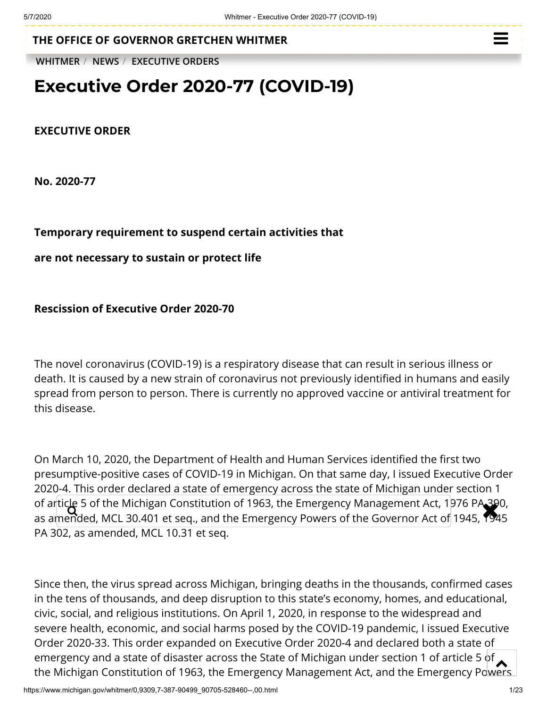**THE OFFICE OF [GOVERNOR GRETCHEN WHITMER](https://www.michigan.gov/whitmer/)**

**[WHITMER](https://www.michigan.gov/whitmer/)** / **[NEWS](https://www.michigan.gov/whitmer/0,9309,7-387-90499---,00.html)** / **[EXECUTIVE ORDERS](https://www.michigan.gov/whitmer/0,9309,7-387-90499_90705---,00.html)**

# **Executive Order 2020-77 (COVID-19)**

**EXECUTIVE ORDER**

**No. 2020-77**

## **Temporary requirement to suspend certain activities that**

**are not necessary to sustain or protect life**

## **Rescission of Executive Order 2020-70**

The novel coronavirus (COVID-19) is a respiratory disease that can result in serious illness or death. It is caused by a new strain of coronavirus not previously identified in humans and easily spread from person to person. There is currently no approved vaccine or antiviral treatment for this disease.

On March 10, 2020, the Department of Health and Human Services identified the first two presumptive-positive cases of COVID-19 in Michigan. On that same day, I issued Executive Order 2020-4. This order declared a state of emergency across the state of Michigan under section 1 of article 5 of the Michigan Constitution of 1963, the Emergency Management Act, 1976 PA 390, of article 5 of the Michigan Constitution of 1963, the Emergency Management Act, 1976 PA 390,<br>as amended, MCL 30.401 et seq., and the Emergency Powers of the Governor Act of 1945, 1945 PA 302, as amended, MCL 10.31 et seq.

Since then, the virus spread across Michigan, bringing deaths in the thousands, confirmed cases in the tens of thousands, and deep disruption to this state's economy, homes, and educational, civic, social, and religious institutions. On April 1, 2020, in response to the widespread and severe health, economic, and social harms posed by the COVID-19 pandemic, I issued Executive Order 2020-33. This order expanded on Executive Order 2020-4 and declared both a state of emergency and a state of disaster across the State of Michigan under section 1 of article 5 of  $\bigwedge$ the Michigan Constitution of 1963, the Emergency Management Act, and the Emergency Powers

 $\equiv$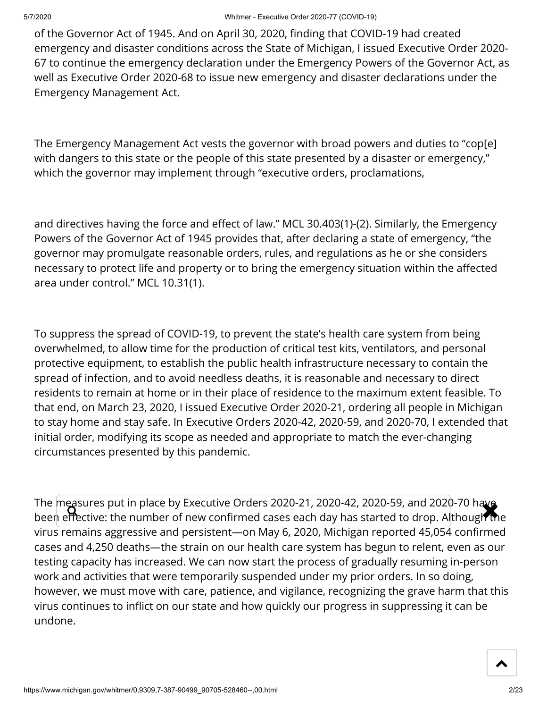of the Governor Act of 1945. And on April 30, 2020, finding that COVID-19 had created emergency and disaster conditions across the State of Michigan, I issued Executive Order 2020- 67 to continue the emergency declaration under the Emergency Powers of the Governor Act, as well as Executive Order 2020-68 to issue new emergency and disaster declarations under the Emergency Management Act.

The Emergency Management Act vests the governor with broad powers and duties to "cop[e] with dangers to this state or the people of this state presented by a disaster or emergency," which the governor may implement through "executive orders, proclamations,

and directives having the force and effect of law." MCL 30.403(1)-(2). Similarly, the Emergency Powers of the Governor Act of 1945 provides that, after declaring a state of emergency, "the governor may promulgate reasonable orders, rules, and regulations as he or she considers necessary to protect life and property or to bring the emergency situation within the affected area under control." MCL 10.31(1).

To suppress the spread of COVID-19, to prevent the state's health care system from being overwhelmed, to allow time for the production of critical test kits, ventilators, and personal protective equipment, to establish the public health infrastructure necessary to contain the spread of infection, and to avoid needless deaths, it is reasonable and necessary to direct residents to remain at home or in their place of residence to the maximum extent feasible. To that end, on March 23, 2020, I issued Executive Order 2020-21, ordering all people in Michigan to stay home and stay safe. In Executive Orders 2020-42, 2020-59, and 2020-70, I extended that initial order, modifying its scope as needed and appropriate to match the ever-changing circumstances presented by this pandemic.

The measures put in place by Executive Orders 2020-21, 2020-42, 2020-59, and 2020-70 have The measures put in place by Executive Orders 2020-21, 2020-42, 2020-59, and 2020-70 have the been effective:<br>been effective: the number of new confirmed cases each day has started to drop. Although the virus remains aggressive and persistent—on May 6, 2020, Michigan reported 45,054 confirmed cases and 4,250 deaths—the strain on our health care system has begun to relent, even as our testing capacity has increased. We can now start the process of gradually resuming in-person work and activities that were temporarily suspended under my prior orders. In so doing, however, we must move with care, patience, and vigilance, recognizing the grave harm that this virus continues to inflict on our state and how quickly our progress in suppressing it can be undone.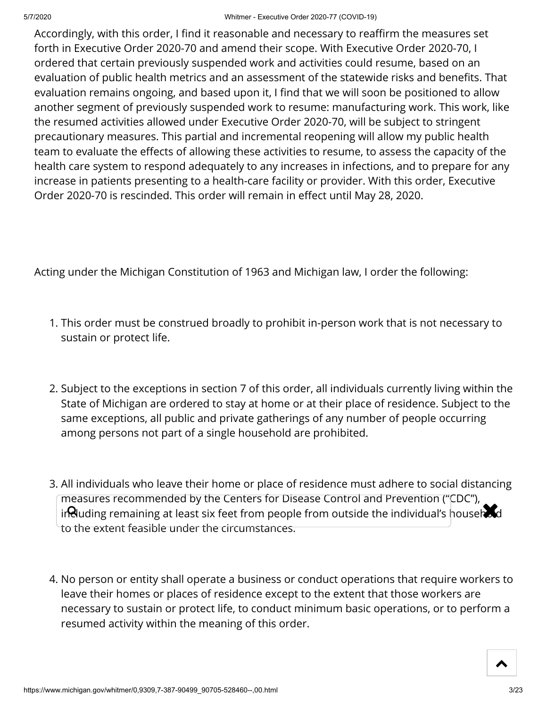Accordingly, with this order, I find it reasonable and necessary to reaffirm the measures set forth in Executive Order 2020-70 and amend their scope. With Executive Order 2020-70, I ordered that certain previously suspended work and activities could resume, based on an evaluation of public health metrics and an assessment of the statewide risks and benefits. That evaluation remains ongoing, and based upon it, I find that we will soon be positioned to allow another segment of previously suspended work to resume: manufacturing work. This work, like the resumed activities allowed under Executive Order 2020-70, will be subject to stringent precautionary measures. This partial and incremental reopening will allow my public health team to evaluate the effects of allowing these activities to resume, to assess the capacity of the health care system to respond adequately to any increases in infections, and to prepare for any increase in patients presenting to a health-care facility or provider. With this order, Executive Order 2020-70 is rescinded. This order will remain in effect until May 28, 2020.

Acting under the Michigan Constitution of 1963 and Michigan law, I order the following:

- 1. This order must be construed broadly to prohibit in-person work that is not necessary to sustain or protect life.
- 2. Subject to the exceptions in section 7 of this order, all individuals currently living within the State of Michigan are ordered to stay at home or at their place of residence. Subject to the same exceptions, all public and private gatherings of any number of people occurring among persons not part of a single household are prohibited.
- 3. All individuals who leave their home or place of residence must adhere to social distancing measures recommended by the Centers for Disease Control and Prevention ("CDC"), including recommended by the centers for bisease control and increment (CBC),<br>in Nuding remaining at least six feet from people from outside the individual's household to the extent feasible under the circumstances.
- 4. No person or entity shall operate a business or conduct operations that require workers to leave their homes or places of residence except to the extent that those workers are necessary to sustain or protect life, to conduct minimum basic operations, or to perform a resumed activity within the meaning of this order.

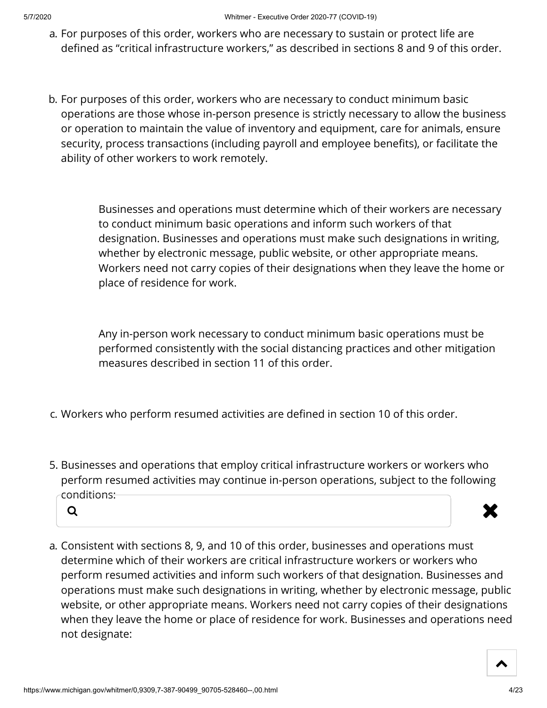- a. For purposes of this order, workers who are necessary to sustain or protect life are defined as "critical infrastructure workers," as described in sections 8 and 9 of this order.
- b. For purposes of this order, workers who are necessary to conduct minimum basic operations are those whose in-person presence is strictly necessary to allow the business or operation to maintain the value of inventory and equipment, care for animals, ensure security, process transactions (including payroll and employee benefits), or facilitate the ability of other workers to work remotely.

Businesses and operations must determine which of their workers are necessary to conduct minimum basic operations and inform such workers of that designation. Businesses and operations must make such designations in writing, whether by electronic message, public website, or other appropriate means. Workers need not carry copies of their designations when they leave the home or place of residence for work.

Any in-person work necessary to conduct minimum basic operations must be performed consistently with the social distancing practices and other mitigation measures described in section 11 of this order.

- c. Workers who perform resumed activities are defined in section 10 of this order.
- 5. Businesses and operations that employ critical infrastructure workers or workers who perform resumed activities may continue in-person operations, subject to the following conditions:



a. Consistent with sections 8, 9, and 10 of this order, businesses and operations must determine which of their workers are critical infrastructure workers or workers who perform resumed activities and inform such workers of that designation. Businesses and operations must make such designations in writing, whether by electronic message, public website, or other appropriate means. Workers need not carry copies of their designations when they leave the home or place of residence for work. Businesses and operations need not designate:

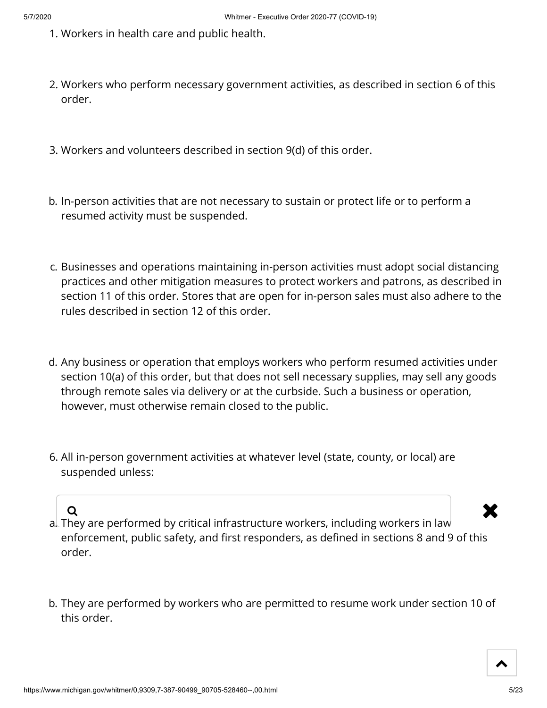- 1. Workers in health care and public health.
- 2. Workers who perform necessary government activities, as described in section 6 of this order.
- 3. Workers and volunteers described in section 9(d) of this order.
- b. In-person activities that are not necessary to sustain or protect life or to perform a resumed activity must be suspended.
- c. Businesses and operations maintaining in-person activities must adopt social distancing practices and other mitigation measures to protect workers and patrons, as described in section 11 of this order. Stores that are open for in-person sales must also adhere to the rules described in section 12 of this order.
- d. Any business or operation that employs workers who perform resumed activities under section 10(a) of this order, but that does not sell necessary supplies, may sell any goods through remote sales via delivery or at the curbside. Such a business or operation, however, must otherwise remain closed to the public.
- 6. All in-person government activities at whatever level (state, county, or local) are suspended unless:

a. They are performed by critical infrastructure workers, including workers in law enforcement, public safety, and first responders, as defined in sections 8 and 9 of this order.  $Q$ 

b. They are performed by workers who are permitted to resume work under section 10 of this order.

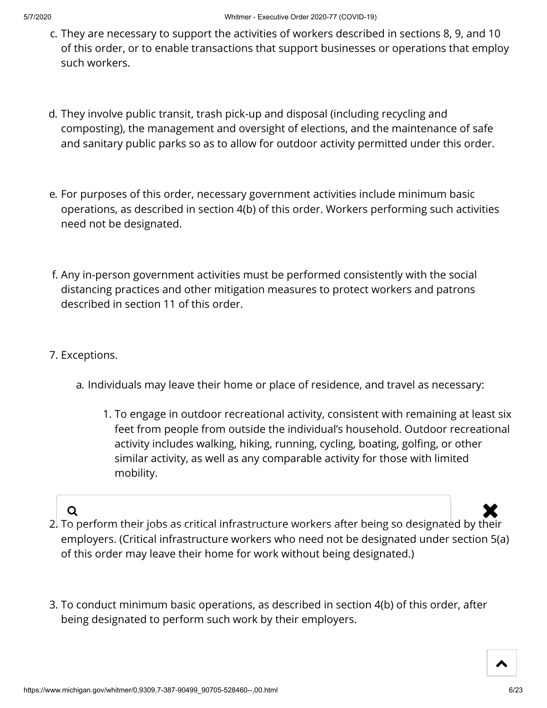- c. They are necessary to support the activities of workers described in sections 8, 9, and 10 of this order, or to enable transactions that support businesses or operations that employ such workers.
- d. They involve public transit, trash pick-up and disposal (including recycling and composting), the management and oversight of elections, and the maintenance of safe and sanitary public parks so as to allow for outdoor activity permitted under this order.
- e. For purposes of this order, necessary government activities include minimum basic operations, as described in section 4(b) of this order. Workers performing such activities need not be designated.
- f. Any in-person government activities must be performed consistently with the social distancing practices and other mitigation measures to protect workers and patrons described in section 11 of this order.
- 7. Exceptions.
	- a. Individuals may leave their home or place of residence, and travel as necessary:
		- 1. To engage in outdoor recreational activity, consistent with remaining at least six feet from people from outside the individual's household. Outdoor recreational activity includes walking, hiking, running, cycling, boating, golfing, or other similar activity, as well as any comparable activity for those with limited mobility.

- 2. To perform their jobs as critical infrastructure workers after being so designated by their employers. (Critical infrastructure workers who need not be designated under section 5(a) of this order may leave their home for work without being designated.)  $\alpha$  . The contract of the contract of the contract of  $\mathbf x$
- 3. To conduct minimum basic operations, as described in section 4(b) of this order, after being designated to perform such work by their employers.

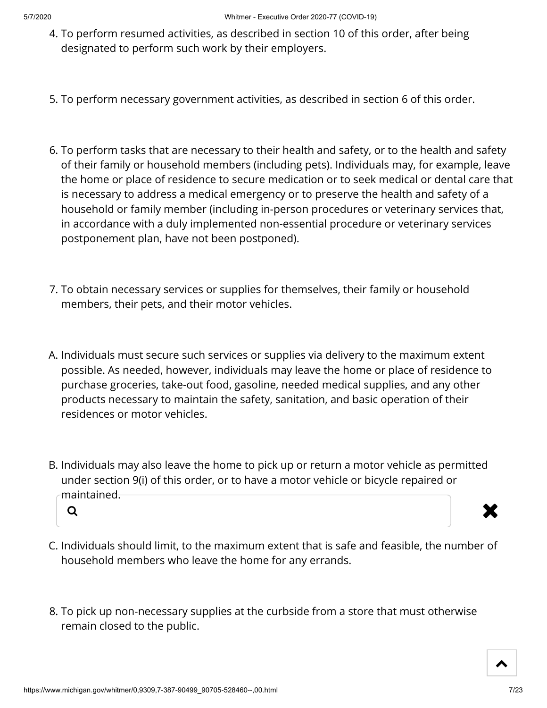- 4. To perform resumed activities, as described in section 10 of this order, after being designated to perform such work by their employers.
- 5. To perform necessary government activities, as described in section 6 of this order.
- 6. To perform tasks that are necessary to their health and safety, or to the health and safety of their family or household members (including pets). Individuals may, for example, leave the home or place of residence to secure medication or to seek medical or dental care that is necessary to address a medical emergency or to preserve the health and safety of a household or family member (including in-person procedures or veterinary services that, in accordance with a duly implemented non-essential procedure or veterinary services postponement plan, have not been postponed).
- 7. To obtain necessary services or supplies for themselves, their family or household members, their pets, and their motor vehicles.
- A. Individuals must secure such services or supplies via delivery to the maximum extent possible. As needed, however, individuals may leave the home or place of residence to purchase groceries, take-out food, gasoline, needed medical supplies, and any other products necessary to maintain the safety, sanitation, and basic operation of their residences or motor vehicles.
- B. Individuals may also leave the home to pick up or return a motor vehicle as permitted under section 9(i) of this order, or to have a motor vehicle or bicycle repaired or maintained. a **x**





- C. Individuals should limit, to the maximum extent that is safe and feasible, the number of household members who leave the home for any errands.
- 8. To pick up non-necessary supplies at the curbside from a store that must otherwise remain closed to the public.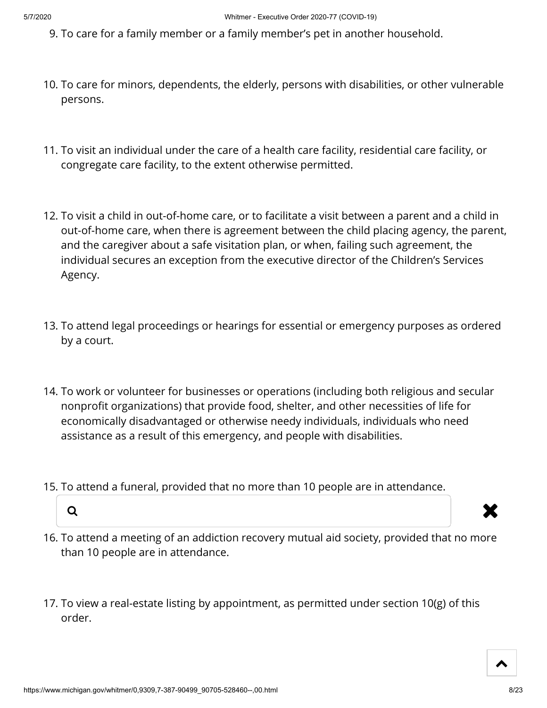- 9. To care for a family member or a family member's pet in another household.
- 10. To care for minors, dependents, the elderly, persons with disabilities, or other vulnerable persons.
- 11. To visit an individual under the care of a health care facility, residential care facility, or congregate care facility, to the extent otherwise permitted.
- 12. To visit a child in out-of-home care, or to facilitate a visit between a parent and a child in out-of-home care, when there is agreement between the child placing agency, the parent, and the caregiver about a safe visitation plan, or when, failing such agreement, the individual secures an exception from the executive director of the Children's Services Agency.
- 13. To attend legal proceedings or hearings for essential or emergency purposes as ordered by a court.
- 14. To work or volunteer for businesses or operations (including both religious and secular nonprofit organizations) that provide food, shelter, and other necessities of life for economically disadvantaged or otherwise needy individuals, individuals who need assistance as a result of this emergency, and people with disabilities.
- 15. To attend a funeral, provided that no more than 10 people are in attendance.





- 16. To attend a meeting of an addiction recovery mutual aid society, provided that no more than 10 people are in attendance.
- 17. To view a real-estate listing by appointment, as permitted under section 10(g) of this order.

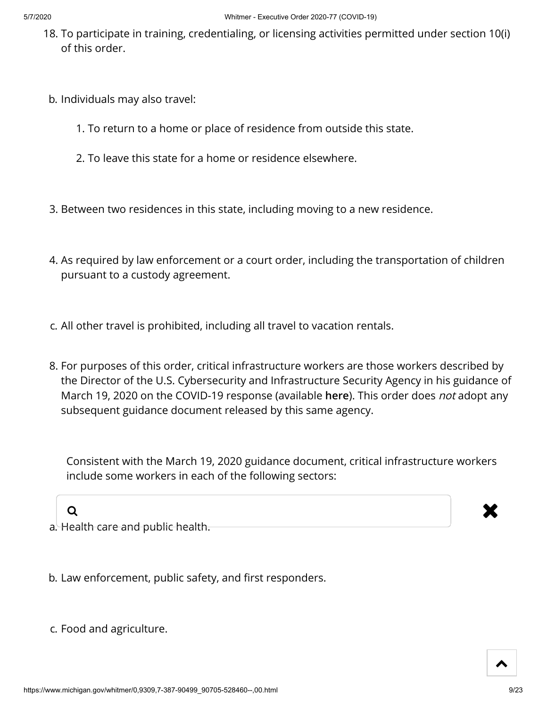- 18. To participate in training, credentialing, or licensing activities permitted under section 10(i) of this order.
- b. Individuals may also travel:
	- 1. To return to a home or place of residence from outside this state.
	- 2. To leave this state for a home or residence elsewhere.
- 3. Between two residences in this state, including moving to a new residence.
- 4. As required by law enforcement or a court order, including the transportation of children pursuant to a custody agreement.
- c. All other travel is prohibited, including all travel to vacation rentals.
- 8. For purposes of this order, critical infrastructure workers are those workers described by the Director of the U.S. Cybersecurity and Infrastructure Security Agency in his guidance of March 19, 2020 on the COVID-19 response (available **[here](https://www.cisa.gov/sites/default/files/publications/CISA-Guidance-on-Essential-Critical-Infrastructure-Workers-1-20-508c.pdf)**). This order does not adopt any subsequent guidance document released by this same agency.

Consistent with the March 19, 2020 guidance document, critical infrastructure workers include some workers in each of the following sectors:

# a **x**

a. Health care and public health.

- b. Law enforcement, public safety, and first responders.
- c. Food and agriculture.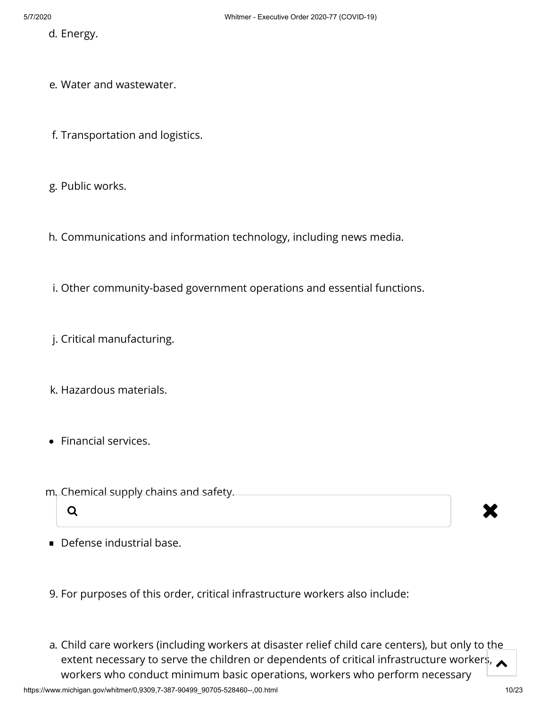d. Energy.

- e. Water and wastewater.
- f. Transportation and logistics.
- g. Public works.
- h. Communications and information technology, including news media.
- i. Other community-based government operations and essential functions.
- j. Critical manufacturing.
- k. Hazardous materials.
- Financial services.
- m. Chemical supply chains and safety.





- Defense industrial base.
- 9. For purposes of this order, critical infrastructure workers also include:
- a. Child care workers (including workers at disaster relief child care centers), but only to the extent necessary to serve the children or dependents of critical infrastructure workers,  $\blacktriangle$ workers who conduct minimum basic operations, workers who perform necessary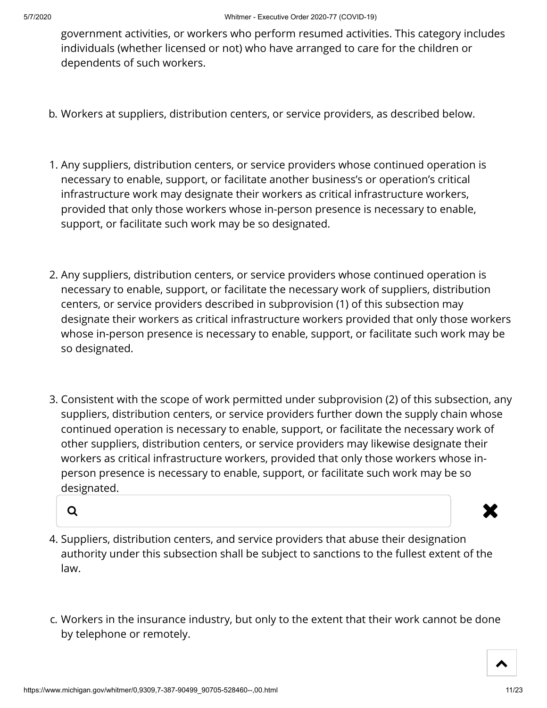government activities, or workers who perform resumed activities. This category includes individuals (whether licensed or not) who have arranged to care for the children or dependents of such workers.

- b. Workers at suppliers, distribution centers, or service providers, as described below.
- 1. Any suppliers, distribution centers, or service providers whose continued operation is necessary to enable, support, or facilitate another business's or operation's critical infrastructure work may designate their workers as critical infrastructure workers, provided that only those workers whose in-person presence is necessary to enable, support, or facilitate such work may be so designated.
- 2. Any suppliers, distribution centers, or service providers whose continued operation is necessary to enable, support, or facilitate the necessary work of suppliers, distribution centers, or service providers described in subprovision (1) of this subsection may designate their workers as critical infrastructure workers provided that only those workers whose in-person presence is necessary to enable, support, or facilitate such work may be so designated.
- 3. Consistent with the scope of work permitted under subprovision (2) of this subsection, any suppliers, distribution centers, or service providers further down the supply chain whose continued operation is necessary to enable, support, or facilitate the necessary work of other suppliers, distribution centers, or service providers may likewise designate their workers as critical infrastructure workers, provided that only those workers whose inperson presence is necessary to enable, support, or facilitate such work may be so designated.



- 4. Suppliers, distribution centers, and service providers that abuse their designation authority under this subsection shall be subject to sanctions to the fullest extent of the law.
- c. Workers in the insurance industry, but only to the extent that their work cannot be done by telephone or remotely.

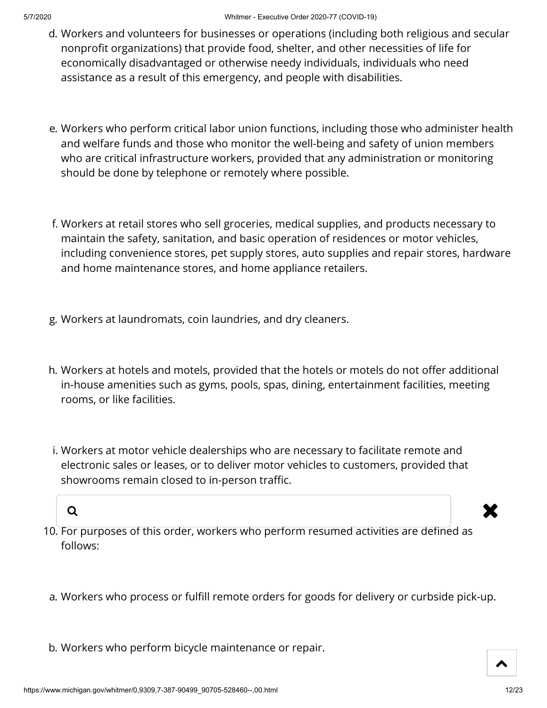- d. Workers and volunteers for businesses or operations (including both religious and secular nonprofit organizations) that provide food, shelter, and other necessities of life for economically disadvantaged or otherwise needy individuals, individuals who need assistance as a result of this emergency, and people with disabilities.
- e. Workers who perform critical labor union functions, including those who administer health and welfare funds and those who monitor the well-being and safety of union members who are critical infrastructure workers, provided that any administration or monitoring should be done by telephone or remotely where possible.
- f. Workers at retail stores who sell groceries, medical supplies, and products necessary to maintain the safety, sanitation, and basic operation of residences or motor vehicles, including convenience stores, pet supply stores, auto supplies and repair stores, hardware and home maintenance stores, and home appliance retailers.
- g. Workers at laundromats, coin laundries, and dry cleaners.
- h. Workers at hotels and motels, provided that the hotels or motels do not offer additional in-house amenities such as gyms, pools, spas, dining, entertainment facilities, meeting rooms, or like facilities.
- i. Workers at motor vehicle dealerships who are necessary to facilitate remote and electronic sales or leases, or to deliver motor vehicles to customers, provided that showrooms remain closed to in-person traffic.



- 10. For purposes of this order, workers who perform resumed activities are defined as follows:
- a. Workers who process or fulfill remote orders for goods for delivery or curbside pick-up.
- b. Workers who perform bicycle maintenance or repair.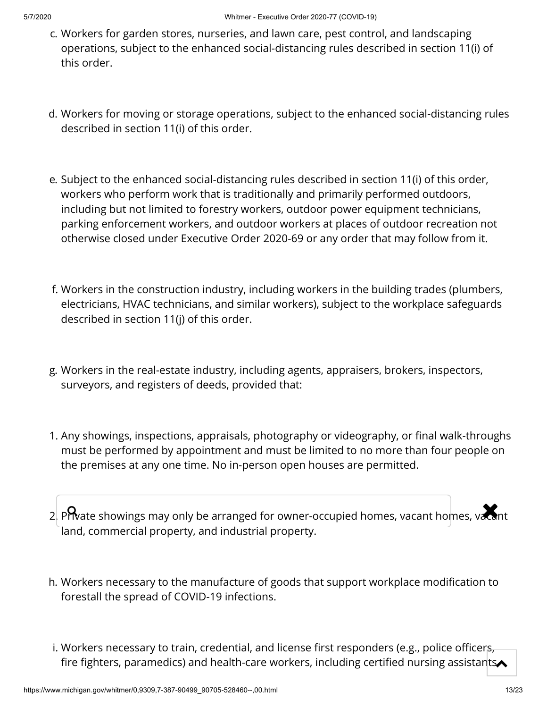- c. Workers for garden stores, nurseries, and lawn care, pest control, and landscaping operations, subject to the enhanced social-distancing rules described in section 11(i) of this order.
- d. Workers for moving or storage operations, subject to the enhanced social-distancing rules described in section 11(i) of this order.
- e. Subject to the enhanced social-distancing rules described in section 11(i) of this order, workers who perform work that is traditionally and primarily performed outdoors, including but not limited to forestry workers, outdoor power equipment technicians, parking enforcement workers, and outdoor workers at places of outdoor recreation not otherwise closed under Executive Order 2020-69 or any order that may follow from it.
- f. Workers in the construction industry, including workers in the building trades (plumbers, electricians, HVAC technicians, and similar workers), subject to the workplace safeguards described in section 11(j) of this order.
- g. Workers in the real-estate industry, including agents, appraisers, brokers, inspectors, surveyors, and registers of deeds, provided that:
- 1. Any showings, inspections, appraisals, photography or videography, or final walk-throughs must be performed by appointment and must be limited to no more than four people on the premises at any one time. No in-person open houses are permitted.
- 2. Phyate showings may only be arranged for owner-occupied homes, vacant homes, vacant land, commercial property, and industrial property.
- h. Workers necessary to the manufacture of goods that support workplace modification to forestall the spread of COVID-19 infections.
- i. Workers necessary to train, credential, and license first responders (e.g., police officers, fire fighters, paramedics) and health-care workers, including certified nursing assistants $\blacktriangle$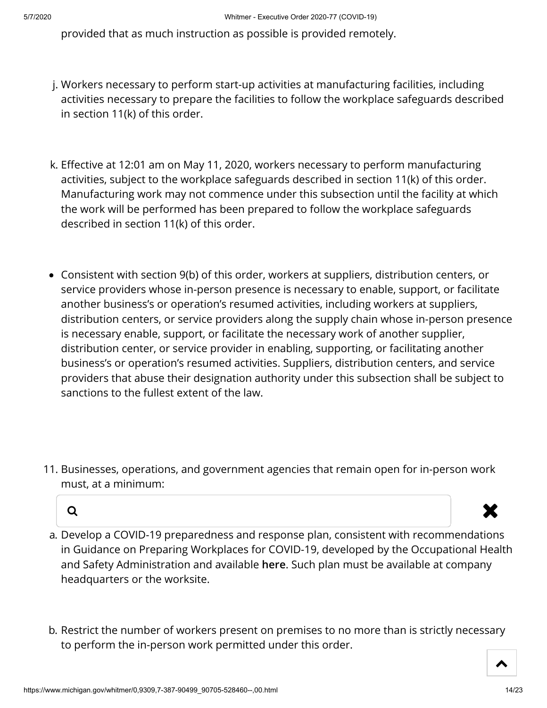provided that as much instruction as possible is provided remotely.

- j. Workers necessary to perform start-up activities at manufacturing facilities, including activities necessary to prepare the facilities to follow the workplace safeguards described in section 11(k) of this order.
- k. Effective at 12:01 am on May 11, 2020, workers necessary to perform manufacturing activities, subject to the workplace safeguards described in section 11(k) of this order. Manufacturing work may not commence under this subsection until the facility at which the work will be performed has been prepared to follow the workplace safeguards described in section 11(k) of this order.
- Consistent with section 9(b) of this order, workers at suppliers, distribution centers, or service providers whose in-person presence is necessary to enable, support, or facilitate another business's or operation's resumed activities, including workers at suppliers, distribution centers, or service providers along the supply chain whose in-person presence is necessary enable, support, or facilitate the necessary work of another supplier, distribution center, or service provider in enabling, supporting, or facilitating another business's or operation's resumed activities. Suppliers, distribution centers, and service providers that abuse their designation authority under this subsection shall be subject to sanctions to the fullest extent of the law.
- 11. Businesses, operations, and government agencies that remain open for in-person work must, at a minimum:





- a. Develop a COVID-19 preparedness and response plan, consistent with recommendations in Guidance on Preparing Workplaces for COVID-19, developed by the Occupational Health and Safety Administration and available **[here](https://www.osha.gov/Publications/OSHA3990.pdf)**. Such plan must be available at company headquarters or the worksite.
- b. Restrict the number of workers present on premises to no more than is strictly necessary to perform the in-person work permitted under this order.

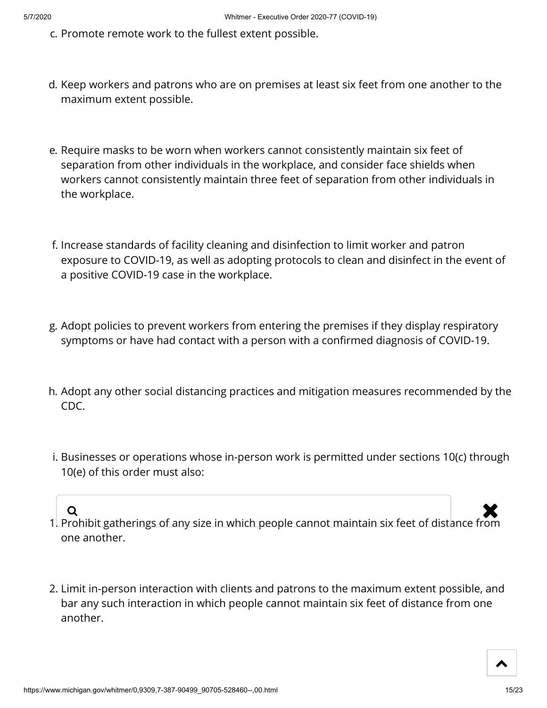- c. Promote remote work to the fullest extent possible.
- d. Keep workers and patrons who are on premises at least six feet from one another to the maximum extent possible.
- e. Require masks to be worn when workers cannot consistently maintain six feet of separation from other individuals in the workplace, and consider face shields when workers cannot consistently maintain three feet of separation from other individuals in the workplace.
- f. Increase standards of facility cleaning and disinfection to limit worker and patron exposure to COVID-19, as well as adopting protocols to clean and disinfect in the event of a positive COVID-19 case in the workplace.
- g. Adopt policies to prevent workers from entering the premises if they display respiratory symptoms or have had contact with a person with a confirmed diagnosis of COVID-19.
- h. Adopt any other social distancing practices and mitigation measures recommended by the CDC.
- i. Businesses or operations whose in-person work is permitted under sections 10(c) through 10(e) of this order must also:

- 1. Prohibit gatherings of any size in which people cannot maintain six feet of distance from one another.  $\alpha$
- 2. Limit in-person interaction with clients and patrons to the maximum extent possible, and bar any such interaction in which people cannot maintain six feet of distance from one another.

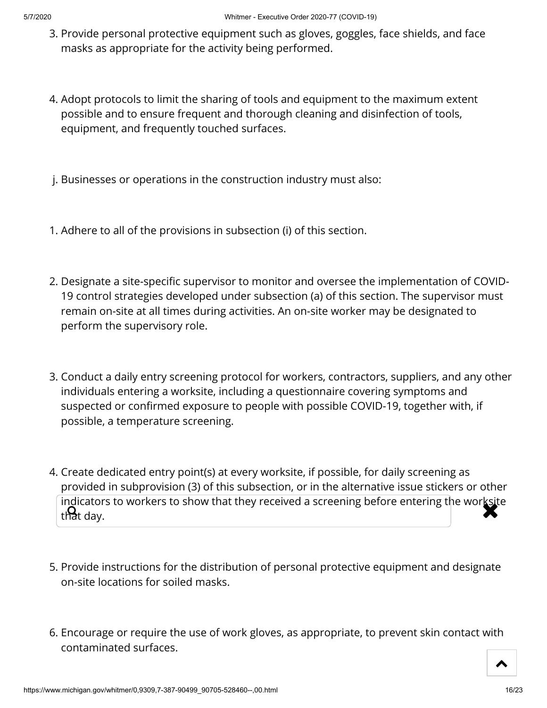- 3. Provide personal protective equipment such as gloves, goggles, face shields, and face masks as appropriate for the activity being performed.
- 4. Adopt protocols to limit the sharing of tools and equipment to the maximum extent possible and to ensure frequent and thorough cleaning and disinfection of tools, equipment, and frequently touched surfaces.
- j. Businesses or operations in the construction industry must also:
- 1. Adhere to all of the provisions in subsection (i) of this section.
- 2. Designate a site-specific supervisor to monitor and oversee the implementation of COVID-19 control strategies developed under subsection (a) of this section. The supervisor must remain on-site at all times during activities. An on-site worker may be designated to perform the supervisory role.
- 3. Conduct a daily entry screening protocol for workers, contractors, suppliers, and any other individuals entering a worksite, including a questionnaire covering symptoms and suspected or confirmed exposure to people with possible COVID-19, together with, if possible, a temperature screening.
- 4. Create dedicated entry point(s) at every worksite, if possible, for daily screening as provided in subprovision (3) of this subsection, or in the alternative issue stickers or other indicators to workers to show that they received a screening before entering the worksite<br>that day. that day.
- 5. Provide instructions for the distribution of personal protective equipment and designate on-site locations for soiled masks.
- 6. Encourage or require the use of work gloves, as appropriate, to prevent skin contact with contaminated surfaces.

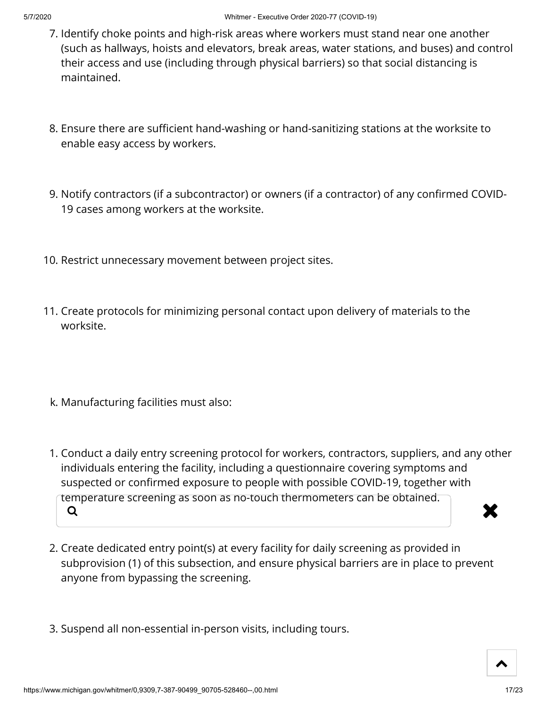- 7. Identify choke points and high-risk areas where workers must stand near one another (such as hallways, hoists and elevators, break areas, water stations, and buses) and control their access and use (including through physical barriers) so that social distancing is maintained.
- 8. Ensure there are sufficient hand-washing or hand-sanitizing stations at the worksite to enable easy access by workers.
- 9. Notify contractors (if a subcontractor) or owners (if a contractor) of any confirmed COVID-19 cases among workers at the worksite.
- 10. Restrict unnecessary movement between project sites.
- 11. Create protocols for minimizing personal contact upon delivery of materials to the worksite.
	- k. Manufacturing facilities must also:
	- 1. Conduct a daily entry screening protocol for workers, contractors, suppliers, and any other individuals entering the facility, including a questionnaire covering symptoms and suspected or confirmed exposure to people with possible COVID-19, together with temperature screening as soon as no-touch thermometers can be obtained.<br> $\bigcirc$
- 2. Create dedicated entry point(s) at every facility for daily screening as provided in subprovision (1) of this subsection, and ensure physical barriers are in place to prevent anyone from bypassing the screening.
- 3. Suspend all non-essential in-person visits, including tours.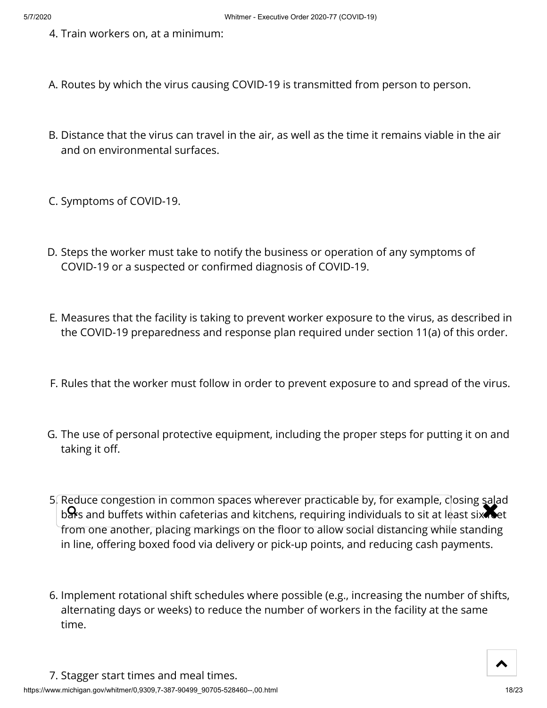- 4. Train workers on, at a minimum:
- A. Routes by which the virus causing COVID-19 is transmitted from person to person.
- B. Distance that the virus can travel in the air, as well as the time it remains viable in the air and on environmental surfaces.
- C. Symptoms of COVID-19.
- D. Steps the worker must take to notify the business or operation of any symptoms of COVID-19 or a suspected or confirmed diagnosis of COVID-19.
- E. Measures that the facility is taking to prevent worker exposure to the virus, as described in the COVID-19 preparedness and response plan required under section 11(a) of this order.
- F. Rules that the worker must follow in order to prevent exposure to and spread of the virus.
- G. The use of personal protective equipment, including the proper steps for putting it on and taking it off.
- 5. Reduce congestion in common spaces wherever practicable by, for example, closing salad Reduce congestion in common spaces wherever practicable by, for example, closing salad<br>bars and buffets within cafeterias and kitchens, requiring individuals to sit at least six feet from one another, placing markings on the floor to allow social distancing while standing in line, offering boxed food via delivery or pick-up points, and reducing cash payments.
- 6. Implement rotational shift schedules where possible (e.g., increasing the number of shifts, alternating days or weeks) to reduce the number of workers in the facility at the same time.

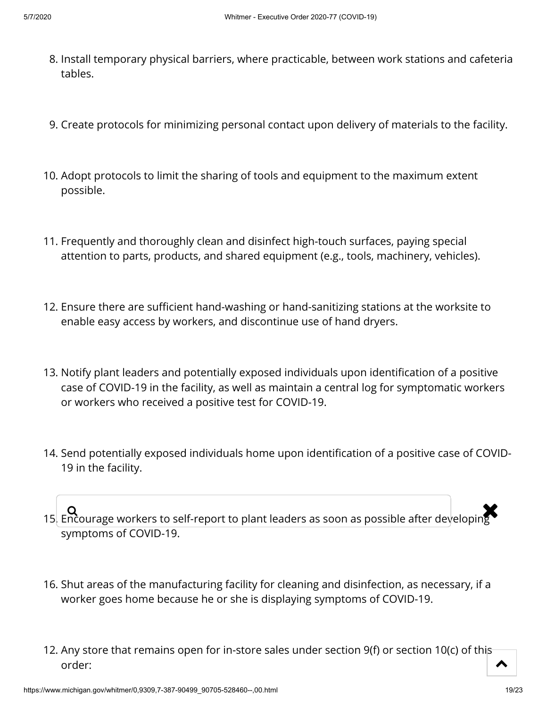- 8. Install temporary physical barriers, where practicable, between work stations and cafeteria tables.
- 9. Create protocols for minimizing personal contact upon delivery of materials to the facility.
- 10. Adopt protocols to limit the sharing of tools and equipment to the maximum extent possible.
- 11. Frequently and thoroughly clean and disinfect high-touch surfaces, paying special attention to parts, products, and shared equipment (e.g., tools, machinery, vehicles).
- 12. Ensure there are sufficient hand-washing or hand-sanitizing stations at the worksite to enable easy access by workers, and discontinue use of hand dryers.
- 13. Notify plant leaders and potentially exposed individuals upon identification of a positive case of COVID-19 in the facility, as well as maintain a central log for symptomatic workers or workers who received a positive test for COVID-19.
- 14. Send potentially exposed individuals home upon identification of a positive case of COVID-19 in the facility.
- $\overline{\mathbf{Q}}$  **o**<br>15. Encourage workers to self-report to plant leaders as soon as possible after developing symptoms of COVID-19.
- 16. Shut areas of the manufacturing facility for cleaning and disinfection, as necessary, if a worker goes home because he or she is displaying symptoms of COVID-19.
- 12. Any store that remains open for in-store sales under section 9(f) or section 10(c) of this order:  $\blacktriangle$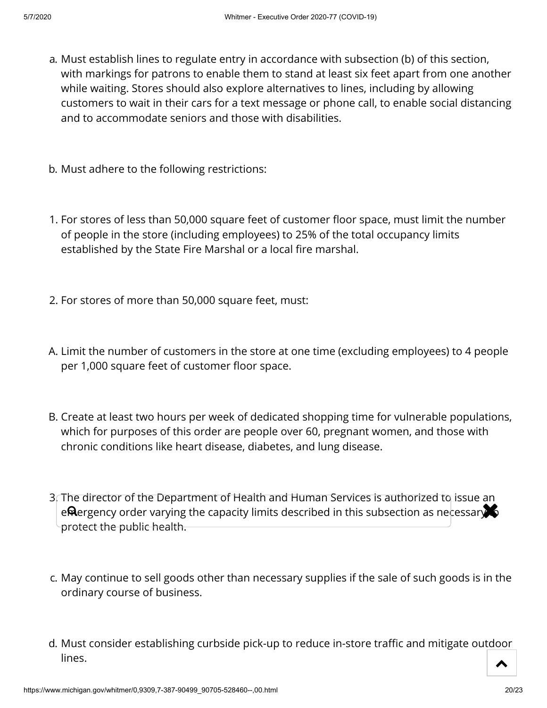- a. Must establish lines to regulate entry in accordance with subsection (b) of this section, with markings for patrons to enable them to stand at least six feet apart from one another while waiting. Stores should also explore alternatives to lines, including by allowing customers to wait in their cars for a text message or phone call, to enable social distancing and to accommodate seniors and those with disabilities.
- b. Must adhere to the following restrictions:
- 1. For stores of less than 50,000 square feet of customer floor space, must limit the number of people in the store (including employees) to 25% of the total occupancy limits established by the State Fire Marshal or a local fire marshal.
- 2. For stores of more than 50,000 square feet, must:
- A. Limit the number of customers in the store at one time (excluding employees) to 4 people per 1,000 square feet of customer floor space.
- B. Create at least two hours per week of dedicated shopping time for vulnerable populations, which for purposes of this order are people over 60, pregnant women, and those with chronic conditions like heart disease, diabetes, and lung disease.
- 3. The director of the Department of Health and Human Services is authorized to issue an emergency order varying the capacity limits described in this subsection as necessary protect the public health.
- c. May continue to sell goods other than necessary supplies if the sale of such goods is in the ordinary course of business.
- d. Must consider establishing curbside pick-up to reduce in-store traffic and mitigate outdoor lines.  $\blacktriangle$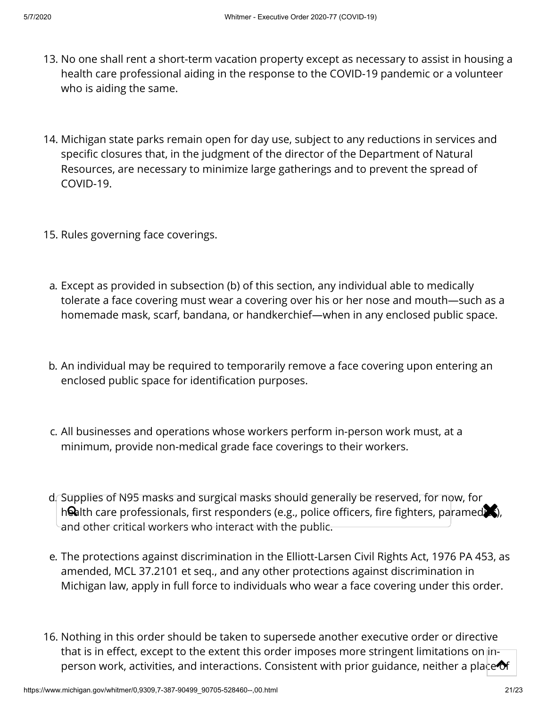- 13. No one shall rent a short-term vacation property except as necessary to assist in housing a health care professional aiding in the response to the COVID-19 pandemic or a volunteer who is aiding the same.
- 14. Michigan state parks remain open for day use, subject to any reductions in services and specific closures that, in the judgment of the director of the Department of Natural Resources, are necessary to minimize large gatherings and to prevent the spread of COVID-19.
- 15. Rules governing face coverings.
- a. Except as provided in subsection (b) of this section, any individual able to medically tolerate a face covering must wear a covering over his or her nose and mouth—such as a homemade mask, scarf, bandana, or handkerchief—when in any enclosed public space.
- b. An individual may be required to temporarily remove a face covering upon entering an enclosed public space for identification purposes.
- c. All businesses and operations whose workers perform in-person work must, at a minimum, provide non-medical grade face coverings to their workers.
- d. Supplies of N95 masks and surgical masks should generally be reserved, for now, for bappres of 135 masks and sargical masks should generally be reserved, for now, for<br>health care professionals, first responders (e.g., police officers, fire fighters, paramed. and other critical workers who interact with the public.
- e. The protections against discrimination in the Elliott-Larsen Civil Rights Act, 1976 PA 453, as amended, MCL 37.2101 et seq., and any other protections against discrimination in Michigan law, apply in full force to individuals who wear a face covering under this order.
- 16. Nothing in this order should be taken to supersede another executive order or directive that is in effect, except to the extent this order imposes more stringent limitations on inperson work, activities, and interactions. Consistent with prior guidance, neither a place  $\bullet$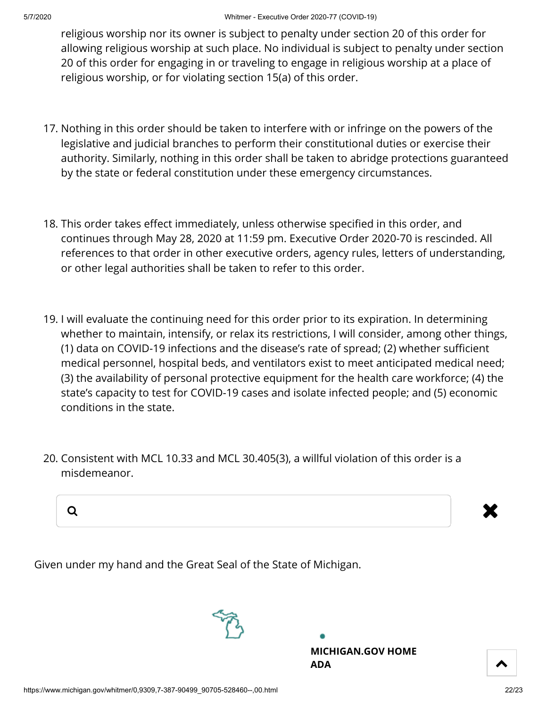religious worship nor its owner is subject to penalty under section 20 of this order for allowing religious worship at such place. No individual is subject to penalty under section 20 of this order for engaging in or traveling to engage in religious worship at a place of religious worship, or for violating section 15(a) of this order.

- 17. Nothing in this order should be taken to interfere with or infringe on the powers of the legislative and judicial branches to perform their constitutional duties or exercise their authority. Similarly, nothing in this order shall be taken to abridge protections guaranteed by the state or federal constitution under these emergency circumstances.
- 18. This order takes effect immediately, unless otherwise specified in this order, and continues through May 28, 2020 at 11:59 pm. Executive Order 2020-70 is rescinded. All references to that order in other executive orders, agency rules, letters of understanding, or other legal authorities shall be taken to refer to this order.
- 19. I will evaluate the continuing need for this order prior to its expiration. In determining whether to maintain, intensify, or relax its restrictions, I will consider, among other things, (1) data on COVID-19 infections and the disease's rate of spread; (2) whether sufficient medical personnel, hospital beds, and ventilators exist to meet anticipated medical need; (3) the availability of personal protective equipment for the health care workforce; (4) the state's capacity to test for COVID-19 cases and isolate infected people; and (5) economic conditions in the state.
- 20. Consistent with MCL 10.33 and MCL 30.405(3), a willful violation of this order is a misdemeanor.



a and the set of the set of the set of the set of the set of the set of the set of the set of the set of the s

Given under my hand and the Great Seal of the State of Michigan.